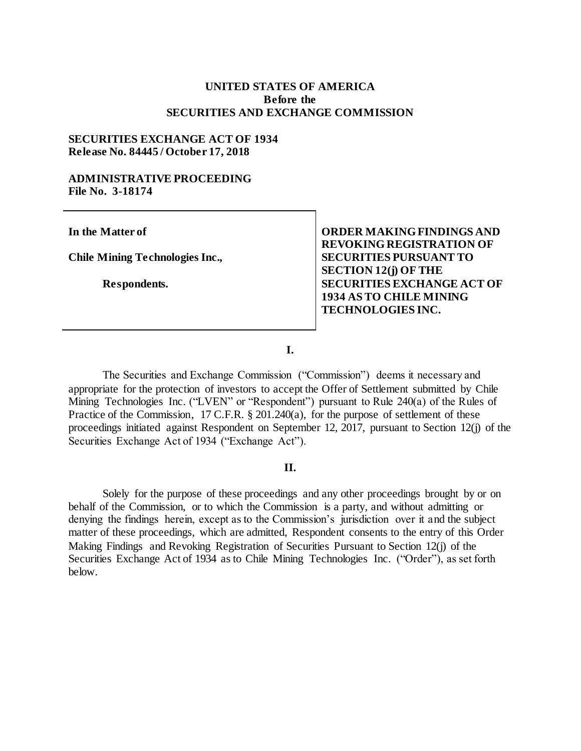# **UNITED STATES OF AMERICA Before the SECURITIES AND EXCHANGE COMMISSION**

# **SECURITIES EXCHANGE ACT OF 1934 Release No. 84445 / October 17, 2018**

### **ADMINISTRATIVE PROCEEDING File No. 3-18174**

**In the Matter of**

**Chile Mining Technologies Inc.,**

**Respondents.**

**ORDER MAKING FINDINGS AND REVOKING REGISTRATION OF SECURITIES PURSUANT TO SECTION 12(j) OF THE SECURITIES EXCHANGE ACT OF 1934 AS TO CHILE MINING TECHNOLOGIES INC.**

**I.**

The Securities and Exchange Commission ("Commission") deems it necessary and appropriate for the protection of investors to accept the Offer of Settlement submitted by Chile Mining Technologies Inc. ("LVEN" or "Respondent") pursuant to Rule 240(a) of the Rules of Practice of the Commission, 17 C.F.R. § 201.240(a), for the purpose of settlement of these proceedings initiated against Respondent on September 12, 2017, pursuant to Section 12(j) of the Securities Exchange Act of 1934 ("Exchange Act").

#### **II.**

Solely for the purpose of these proceedings and any other proceedings brought by or on behalf of the Commission, or to which the Commission is a party, and without admitting or denying the findings herein, except as to the Commission's jurisdiction over it and the subject matter of these proceedings, which are admitted, Respondent consents to the entry of this Order Making Findings and Revoking Registration of Securities Pursuant to Section 12(j) of the Securities Exchange Act of 1934 as to Chile Mining Technologies Inc. ("Order"), as set forth below.